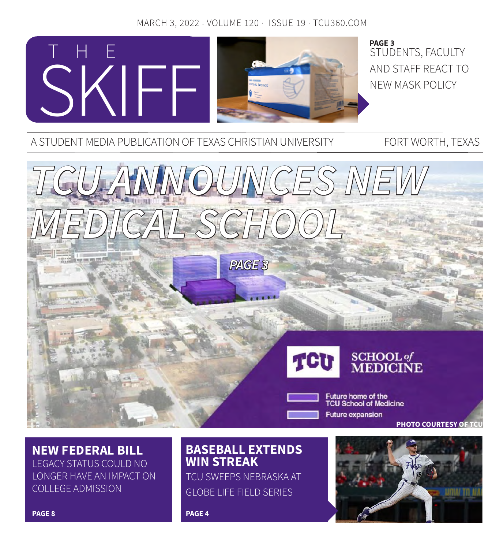## MARCH 3, 2022 · VOLUME 120 · ISSUE 19 · TCU360.COM



STUDENTS, FACULTY AND STAFF REACT TO NEW MASK POLICY **PAGE 3**

A STUDENT MEDIA PUBLICATION OF TEXAS CHRISTIAN UNIVERSITY FORT WORTH, TEXAS



**NEW FEDERAL BILL** LEGACY STATUS COULD NO LONGER HAVE AN IMPACT ON COLLEGE ADMISSION

## **BASEBALL EXTENDS WIN STREAK**

TCU SWEEPS NEBRASKA AT GLOBE LIFE FIELD SERIES

**PAGE 4**

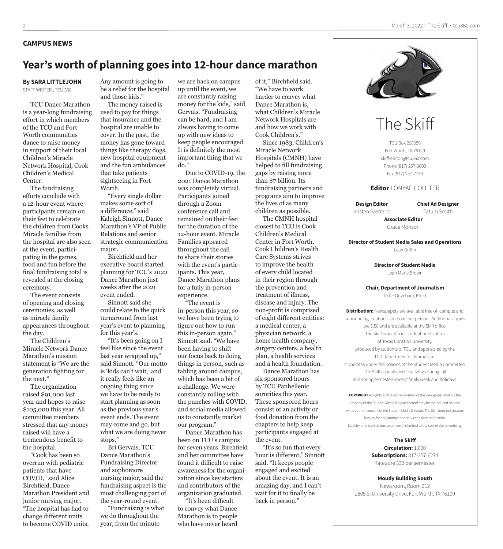#### **CAMPUS NEWS**

## **Year's worth of planning goes into 12-hour dance marathon**

#### **By SARA LITTLEJOHN**

STAFF WRITER , TCU 360

TCU Dance Marathon is a year-long fundraising effort in which members of the TCU and Fort Worth communities dance to raise money in support of their local Children's Miracle Network Hospital, Cook Children's Medical Center.

The fundraising efforts conclude with a 12-hour event where participants remain on their feet to celebrate the children from Cooks. Miracle families from the hospital are also seen at the event, participating in the games, food and fun before the final fundraising total is revealed at the closing ceremony.

The event consists of opening and closing ceremonies, as well as miracle family appearances throughout the day.

The Children's Miracle Network Dance Marathon's mission statement is "We are the generation fighting for the next."

The organization raised \$91,000 last year and hopes to raise \$105,000 this year. All committee members stressed that any money raised will have a tremendous benefit to the hospital.

"Cook has been so overrun with pediatric patients that have COVID," said Alice Birchfield, Dance Marathon President and junior nursing major. "The hospital has had to change different units to become COVID units.

Any amount is going to be a relief for the hospital and those kids."

The money raised is used to pay for things that insurance and the hospital are unable to cover. In the past, the money has gone toward things like therapy dogs, new hospital equipment and the fun ambulances that take patients sightseeing in Fort Worth.

"Every single dollar makes some sort of a difference," said Kaleigh Sinnott, Dance Marathon's VP of Public Relations and senior strategic communication major.

Birchfield and her executive board started planning for TCU's 2022 Dance Marathon just weeks after the 2021 event ended.

Sinnott said she could relate to the quick turnaround from last year's event to planning for this year's.

"It's been going on I feel like since the event last year wrapped up," said Sinnott. "Our motto is 'kids can't wait,' and it really feels like an ongoing thing since we have to be ready to start planning as soon as the previous year's event ends. The event may come and go, but what we are doing never stops."

Bri Gervais, TCU Dance Marathon's Fundraising Director and sophomore nursing major, said the fundraising aspect is the most challenging part of the year-round event.

"Fundraising is what we do throughout the year, from the minute

we are back on campus up until the event, we are constantly raising money for the kids," said Gervais. "Fundraising can be hard, and I am always having to come up with new ideas to keep people encouraged. It is definitely the most important thing that we do."

Due to COVID-19, the 2021 Dance Marathon was completely virtual. Participants joined through a Zoom conference call and remained on their feet for the duration of the 12-hour event. Miracle Families appeared throughout the call to share their stories with the event's participants. This year, Dance Marathon plans for a fully in-person experience.

"The event is in-person this year, so we have been trying to figure out how to run this in-person again," Sinnott said. "We have been having to shift our focus back to doing things in person, such as tabling around campus, which has been a bit of a challenge. We were constantly rolling with the punches with COVID, and social media allowed us to constantly market our program."

Dance Marathon has been on TCU's campus for seven years. Birchfield and her committee have found it difficult to raise awareness for the organization since key starters and contributors of the organization graduated.

"It's been difficult to convey what Dance Marathon is to people who have never heard

of it," Birchfield said. "We have to work harder to convey what Dance Marathon is, what Children's Miracle Network Hospitals are and how we work with Cook Children's." Since 1983, Children's Miracle Network Hospitals (CMNH) have helped to fill fundraising gaps by raising more than \$7 billion. Its fundraising partners and

programs aim to improve the lives of as many children as possible.

The CMNH hospital closest to TCU is Cook Children's Medical Center in Fort Worth. Cook Children's Health Care Systems strives to improve the health of every child located in their region through the prevention and treatment of illness, disease and injury. The non-profit is comprised of eight different entities: a medical center, a physician network, a home health company, surgery centers, a health plan, a health services and a health foundation.

Dance Marathon has six sponsored hours by TCU Panhellenic sororities this year. These sponsored hours consist of an activity or food donation from the chapters to help keep participants engaged at the event.

"It's so fun that every hour is different," Sinnott said. "It keeps people engaged and excited about the event. It is an amazing day, and I can't wait for it to finally be back in person."



# The Skiff

TCU Box 298050 Fort Worth, TX 76129 skiff-editor@tcu360.com Phone (817) 257-3600 Fax (817) 257-7133

#### **Editor** LONYAE COULTER

**Design Editor** Kristen Pastrano **Chief Ad Designer** Tatum Smith

**Associate Editor** Grace Morison

**Director of Student Media Sales and Operations** Leah Griffin

> **Director of Student Media** Jean Marie Brown

#### **Chair, Department of Journalism**

Uche Onyebadi, Ph. D

**Distribution:** Newspapers are available free on campus and surrounding locations, limit one per person. Additional copies are \$.50 and are available at the Skiff office. The Skiff is an official student publication of Texas Christian University, produced by students of TCU and sponsored by the TCU Department of Journalism. It operates under the policies of the Student Media Committee. The Skiff is published Thursdays during fall and spring semesters except finals week and holidays.

**COPYRIGHT** All rights for the entire contents of this newspaper shall be the property of the Student Media.No part thereof may be reproduced or aired without prior consent of the Student Media Director. The Skiff does not assume liability for any product and services advertised herein. Liability for misprints due to our error is limited to the cost of the advertising.

> **The Skiff Circulation:** 1,000 **Subscriptions:** 817-257-6274 Rates are \$30 per semester.

**Moudy Building South** Newsroom, Room 212 2805 S. University Drive, Fort Worth, TX 76109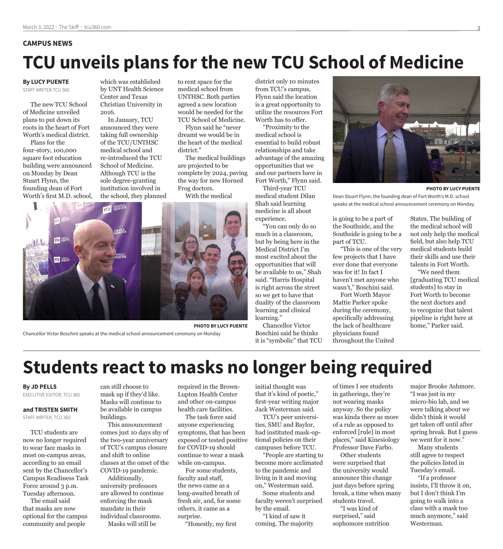#### **CAMPUS NEWS**

# **TCU unveils plans for the new TCU School of Medicine**

#### **By LUCY PUENTE**  STAFF WRITER TCU 360

The new TCU School of Medicine unveiled plans to put down its roots in the heart of Fort Worth's medical district. Plans for the four-story, 100,000 square foot education building were announced on Monday by Dean Stuart Flynn, the founding dean of Fort Worth's first M.D. school,

which was established by UNT Health Science Center and Texas Christian University in 2016.

In January, TCU announced they were taking full ownership of the TCU/UNTHSC medical school and re-introduced the TCU School of Medicine. Although TCU is the sole degree-granting institution involved in the school, they planned to rent space for the medical school from UNTHSC. Both parties agreed a new location would be needed for the TCU School of Medicine.

Flynn said he "never dreamt we would be in the heart of the medical district."

The medical buildings are projected to be complete by 2024, paving the way for new Horned Frog doctors.

With the medical



**PHOTO BY LUCY PUENTE** 

Chancellor Victor Boschini speaks at the medical school announcement ceremony on Monday

district only 10 minutes from TCU's campus, Flynn said the location is a great opportunity to utilize the resources Fort Worth has to offer.

"Proximity to the medical school is essential to build robust relationships and take advantage of the amazing opportunities that we and our partners have in Fort Worth," Flynn said.

Third-year TCU medical student Dilan Shah said learning medicine is all about experience.

"You can only do so much in a classroom, but by being here in the Medical District I'm most excited about the opportunities that will be available to us," Shah said. "Harris Hospital is right across the street so we get to have that duality of the classroom learning and clinical learning."

Chancellor Victor Boschini said he thinks it is "symbolic" that TCU



**PHOTO BY LUCY PUENTE**

Dean Stuart Flynn, the founding dean of Fort Worth's M.D. school speaks at the medical school announcement ceremony on Monday.

is going to be a part of the Southside, and the Southside is going to be a part of TCU.

"This is one of the very few projects that I have ever done that everyone was for it! In fact I haven't met anyone who wasn't," Boschini said.

Fort Worth Mayor Mattie Parker spoke during the ceremony, specifically addressing the lack of healthcare physicians found throughout the United States. The building of the medical school will not only help the medical field, but also help TCU medical students build their skills and use their talents in Fort Worth. "We need them

[graduating TCU medical students] to stay in Fort Worth to become the next doctors and to recognize that talent pipeline is right here at home," Parker said.

# **Students react to masks no longer being required**

#### **By JD PELLS**

EXECUTIVE EDITOR, TCU 360

#### **and TRISTEN SMITH**

STAFF WRITER, TCU 360

TCU students are now no longer required to wear face masks in most on-campus areas, according to an email sent by the Chancellor's Campus Readiness Task Force around 3 p.m. Tuesday afternoon.

The email said that masks are now optional for the campus community and people

can still choose to mask up if they'd like. Masks will continue to be available in campus buildings.

This announcement comes just 10 days shy of the two-year anniversary of TCU's campus closure and shift to online classes at the onset of the COVID-19 pandemic. Additionally,

university professors are allowed to continue enforcing the mask mandate in their individual classrooms. Masks will still be

required in the Brown-Lupton Health Center and other on-campus health care facilities.

The task force said anyone experiencing symptoms, that has been exposed or tested positive for COVID-19 should continue to wear a mask while on-campus.

For some students, faculty and staff, the news came as a long-awaited breath of fresh air, and, for some others, it came as a surprise.

"Honestly, my first

initial thought was that it's kind of poetic," first-year writing major Jack Westerman said.

TCU's peer universities, SMU and Baylor, had instituted mask-optional policies on their campuses before TCU.

"People are starting to become more acclimated to the pandemic and living in it and moving on," Westerman said. Some students and

faculty weren't surprised by the email. "I kind of saw it

coming. The majority

of times I see students in gatherings, they're not wearing masks anyway. So the policy was kinda there as more of a rule as opposed to enforced [rule] in most places," said Kinesiology Professor Dave Farbo.

Other students were surprised that the university would announce this change just days before spring break, a time when many students travel.

"I was kind of surprised," said sophomore nutrition major Brooke Ashmore. "I was just in my micro-bio lab, and we were talking about we didn't think it would get taken off until after spring break. But I guess we went for it now."

Many students still agree to respect the policies listed in Tuesday's email.

"If a professor insists, I'll throw it on, but I don't think I'm going to walk into a class with a mask too much anymore," said Westerman.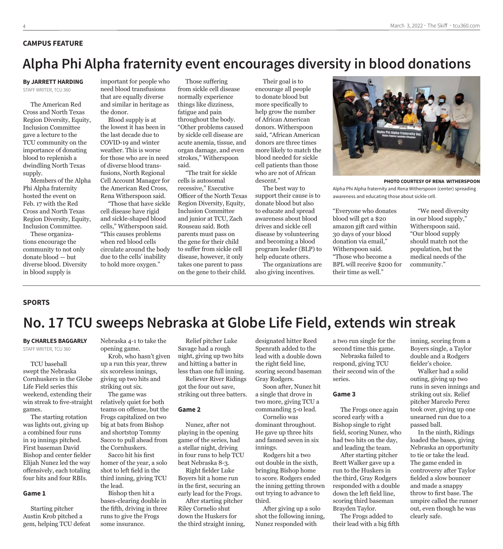#### **CAMPUS FEATURE**

## **Alpha Phi Alpha fraternity event encourages diversity in blood donations**

## **By JARRETT HARDING**

STAFF WRITER, TCU 360

The American Red Cross and North Texas Region Diversity, Equity, Inclusion Committee gave a lecture to the TCU community on the importance of donating blood to replenish a dwindling North Texas supply.

Members of the Alpha Phi Alpha fraternity hosted the event on Feb. 17 with the Red Cross and North Texas Region Diversity, Equity, Inclusion Committee.

These organizations encourage the community to not only donate blood — but diverse blood. Diversity in blood supply is

important for people who need blood transfusions that are equally diverse and similar in heritage as the donor.

Blood supply is at the lowest it has been in the last decade due to COVID-19 and winter weather. This is worse for those who are in need of diverse blood transfusions, North Regional Cell Account Manager for the American Red Cross, Rena Witherspoon said.

"Those that have sickle cell disease have rigid and sickle-shaped blood cells," Witherspoon said. "This causes problems when red blood cells circulate around the body due to the cells' inability to hold more oxygen."

Those suffering from sickle cell disease normally experience things like dizziness, fatigue and pain throughout the body. "Other problems caused by sickle cell disease are acute anemia, tissue, and organ damage, and even strokes," Witherspoon said.

"The trait for sickle cells is autosomal recessive," Executive Officer of the North Texas Region Diversity, Equity, Inclusion Committee and junior at TCU, Zach Rouseau said. Both parents must pass on the gene for their child to suffer from sickle cell disease, however, it only takes one parent to pass on the gene to their child.

Their goal is to encourage all people to donate blood but more specifically to help grow the number of African American donors. Witherspoon said, "African American donors are three times more likely to match the blood needed for sickle cell patients than those who are not of African descent."

The best way to support their cause is to donate blood but also to educate and spread awareness about blood drives and sickle cell disease by volunteering and becoming a blood program leader (BLP) to help educate others.

The organizations are also giving incentives.



Alpha Phi Alpha fraternity and Rena Witherspoon (center) spreading awareness and educating those about sickle cell.

"Everyone who donates blood will get a \$20 amazon gift card within 30 days of your blood donation via email," Witherspoon said. "Those who become a BPL will receive \$200 for their time as well."

"We need diversity in our blood supply," Witherspoon said. "Our blood supply should match not the population, but the medical needs of the community."

#### **SPORTS**

## **No. 17 TCU sweeps Nebraska at Globe Life Field, extends win streak**

#### **By CHARLES BAGGARLY** STAFF WRITER, TCU 360

TCU baseball swept the Nebraska Cornhuskers in the Globe Life Field series this weekend, extending their win streak to five-straight games.

The starting rotation was lights out, giving up a combined four runs in 19 innings pitched. First baseman David Bishop and center fielder Elijah Nunez led the way offensively, each totaling four hits and four RBIs.

#### **Game 1**

Starting pitcher Austin Krob pitched a gem, helping TCU defeat Nebraska 4-1 to take the opening game.

Krob, who hasn't given up a run this year, threw six scoreless innings, giving up two hits and striking out six.

The game was relatively quiet for both teams on offense, but the Frogs capitalized on two big at bats from Bishop and shortstop Tommy Sacco to pull ahead from the Cornhuskers.

Sacco hit his first homer of the year, a solo shot to left field in the third inning, giving TCU the lead.

Bishop then hit a bases-clearing double in the fifth, driving in three runs to give the Frogs some insurance.

Relief pitcher Luke Savage had a rough night, giving up two hits and hitting a batter in less than one full inning.

Reliever River Ridings got the four out save, striking out three batters.

#### **Game 2**

Nunez, after not playing in the opening game of the series, had a stellar night, driving in four runs to help TCU beat Nebraska 8-3.

Right fielder Luke Boyers hit a home run in the first, securing an early lead for the Frogs.

After starting pitcher Riley Cornelio shut down the Huskers for the third straight inning, designated hitter Reed Spenrath added to the lead with a double down the right field line, scoring second baseman Gray Rodgers.

Soon after, Nunez hit a single that drove in two more, giving TCU a commanding 5-0 lead.

Cornelio was dominant throughout. He gave up three hits and fanned seven in six innings.

Rodgers hit a two out double in the sixth, bringing Bishop home to score. Rodgers ended the inning getting thrown out trying to advance to third.

After giving up a solo shot the following inning, Nunez responded with

a two run single for the second time this game. Nebraska failed to respond, giving TCU

their second win of the series.

#### **Game 3**

The Frogs once again scored early with a Bishop single to right field, scoring Nunez, who had two hits on the day, and leading the team.

After starting pitcher Brett Walker gave up a run to the Huskers in the third, Gray Rodgers responded with a double down the left field line, scoring third baseman Brayden Taylor.

The Frogs added to their lead with a big fifth inning, scoring from a Boyers single, a Taylor double and a Rodgers fielder's choice.

Walker had a solid outing, giving up two runs in seven innings and striking out six. Relief pitcher Marcelo Perez took over, giving up one unearned run due to a passed ball.

In the ninth, Ridings loaded the bases, giving Nebraska an opportunity to tie or take the lead. The game ended in controversy after Taylor fielded a slow bouncer and made a snappy throw to first base. The umpire called the runner out, even though he was clearly safe.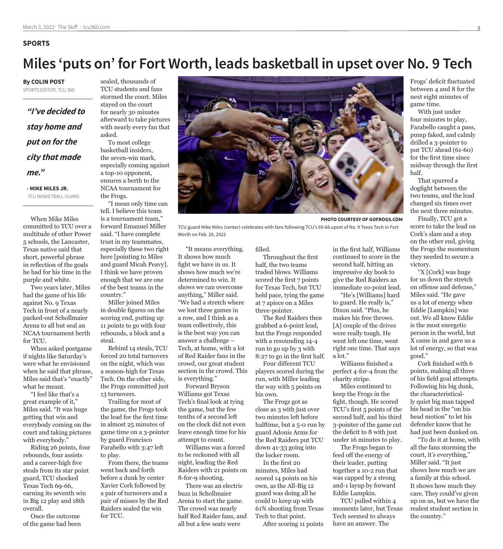#### **SPORTS**

## **Miles 'puts on' for Fort Worth, leads basketball in upset over No. 9 Tech**

**By COLIN POST** SPORTS EDITOR, TCU 360

*"I've decided to stay home and put on for the city that made me."*

**- MIKE MILES JR.** TCU BASKETBALL GUARD

When Mike Miles committed to TCU over a multitude of other Power 5 schools, the Lancaster, Texas native said that short, powerful phrase in reflection of the goals he had for his time in the purple and white.

Two years later, Miles had the game of his life against No. 9 Texas Tech in front of a nearly packed-out Schollmaier Arena to all but seal an NCAA tournament berth for TCU.

When asked postgame if nights like Saturday's were what he envisioned when he said that phrase, Miles said that's "exactly" what he meant.

"I feel like that's a great example of it," Miles said. "It was huge getting that win and everybody coming on the court and taking pictures with everybody."

Riding 26 points, four rebounds, four assists and a career-high five steals from its star point guard, TCU shocked Texas Tech 69-66, earning its seventh win in Big 12 play and 18th overall.

Once the outcome of the game had been

sealed, thousands of TCU students and fans stormed the court. Miles stayed on the court for nearly 30 minutes afterward to take pictures with nearly every fan that asked.

To most college basketball insiders, the seven-win mark, especially coming against a top-10 opponent, ensures a berth to the NCAA tournament for the Frogs.

"I mean only time can tell. I believe this team is a tournament team," forward Emanuel Miller said. "I have complete trust in my teammates, especially these two right here [pointing to Miles and guard Micah Peavy]. I think we have proven enough that we are one of the best teams in the country."

Miller joined Miles in double figures on the scoring end, putting up 11 points to go with four rebounds, a block and a steal.

Behind 14 steals, TCU forced 20 total turnovers on the night, which was a season-high for Texas Tech. On the other side, the Frogs committed just 13 turnovers.

Trailing for most of the game, the Frogs took the lead for the first time in almost 25 minutes of game time on a 3-pointer by guard Francisco Farabello with 3:47 left to play.

From there, the teams went back and forth before a dunk by center Xavier Cork followed by a pair of turnovers and a pair of misses by the Red Raiders sealed the win for TCU.



TCU guard Mike Miles (center) celebrates with fans following TCU's 69-66 upset of No. 9 Texas Tech in Fort Worth on Feb. 26, 2022

"It means everything. It shows how much fight we have in us. It shows how much we're determined to win. It shows we can overcome anything," Miller said. "We had a stretch where we lost three games in a row, and I think as a team collectively, this is the best way you can answer a challenge – Tech, at home, with a lot of Red Raider fans in the crowd, our great student section in the crowd. This is everything."

Forward Bryson Williams got Texas Tech's final look at tying the game, but the few tenths of a second left on the clock did not even leave enough time for his attempt to count.

Williams was a forced to be reckoned with all night, leading the Red Raiders with 21 points on 8-for-9 shooting.

There was an electric buzz in Schollmaier Arena to start the game. The crowd was nearly half Red Raider fans, and all but a few seats were

Throughout the first half, the two teams traded blows. Williams scored the first 7 points for Texas Tech, but TCU held pace, tying the game at 7 apiece on a Miles three-pointer.

filled.

The Red Raiders then grabbed a 6-point lead, but the Frogs responded with a resounding 14-4 run to go up by 3 with 8:27 to go in the first half.

Four different TCU players scored during the run, with Miller leading the way with 5 points on his own.

The Frogs got as close as 3 with just over two minutes left before halftime, but a 5-0 run by guard Adonis Arms for the Red Raiders put TCU down 41-33 going into the locker room.

In the first 20 minutes, Miles had scored 14 points on his own, as the All-Big 12 guard was doing all he could to keep up with 61% shooting from Texas Tech to that point.

After scoring 11 points

in the first half, Williams continued to score in the second half, hitting an impressive sky hook to give the Red Raiders an immediate 10-point lead.

"He's [Williams] hard to guard. He really is," Dixon said. "Plus, he makes his free throws. [A] couple of the drives were really tough. He went left one time, went right one time. That says a lot."

Williams finished a perfect 4-for-4 from the charity stripe.

Miles continued to keep the Frogs in the fight, though. He scored TCU's first 5 points of the second half, and his third 3-pointer of the game cut the deficit to 8 with just under 16 minutes to play.

The Frogs began to feed off the energy of their leader, putting together a 10-2 run that was capped by a strong and-1 layup by forward Eddie Lampkin.

TCU pulled within 4 moments later, but Texas Tech seemed to always have an answer. The

Frogs' deficit fluctuated between 4 and 8 for the next eight minutes of game time.

With just under four minutes to play, Farabello caught a pass, pump faked, and calmly drilled a 3-pointer to put TCU ahead (61-60) for the first time since midway through the first half.

That spurred a dogfight between the two teams, and the lead changed six times over the next three minutes.

Finally, TCU got a score to take the lead on Cork's slam and a stop on the other end, giving the Frogs the momentum they needed to secure a victory.

"X [Cork] was huge for us down the stretch on offense and defense," Miles said. "He gave us a lot of energy when Eddie [Lampkin] was out. We all know Eddie is the most energetic person in the world, but X came in and gave us a lot of energy, so that was good."

Cork finished with 6 points, making all three of his field goal attempts. Following his big dunk, the characteristically quiet big man tapped his head in the "on his head motion" to let his defender know that he had just been dunked on.

"To do it at home, with all the fans storming the court, it's everything," Miller said. "It just shows how much we are a family at this school. It shows how much they care. They could've given up on us, but we have the realest student section in the country."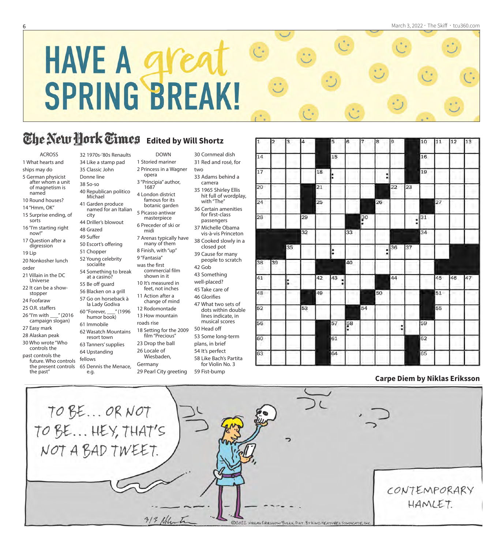# **HAVE A gree SPRING BREAK!**

DOWN 1 Storied mariner 2 Princess in a Wagner

> famous for its botanic garden

masterpiece 6 Preceder of ski or midi

7 Arenas typically have many of them 8 Finish, with "up" 9 "Fantasia" was the first

commercial film shown in it 10 It's measured in feet, not inches 11 Action after a change of mind 12 Rodomontade 13 How mountain

opera

1687

## **The New Hork Times** Edited by Will Shortz

#### ACROSS

- 1 What hearts and ships may do
- 5 German physicist after whom a unit of magnetism is
- named 10 Round houses?
- 14 "Hmm, OK"
- 15 Surprise ending, of sorts
- 16 "I'm starting right now!"
- 17 Question after a digression
- 19 Lip
- 20 Nonkosher lunch
- order
- 21 Villain in the DC
- Universe 22 It can be a show-
- stopper
- 24 Foofaraw
- 25 O.R. staffers 26 "I'm with \_\_\_" (2016
- campaign slogan)
- 27 Easy mark
- 28 Alaskan peak
- 30 Who wrote "Who controls the
- past controls the
- future. Who controls the present controls
- the past"

32 1970s-'80s Renaults 34 Like a stamp pad 35 Classic John Donne line

38 So-so 40 Republican politico Michael 3 "Principia" author, 4 London district

- 41 Garden produce named for an Italian city 5 Picasso antiwar
- 44 Driller's blowout 48 Grazed 49 Suffer 50 Escort's offering
- 51 Chopper 52 Young celebrity socialite
- 54 Something to break at a casino? 55 Be off guard 56 Blacken on a grill
- 57 Go on horseback à la Lady Godiva 60 "Forever, \_\_\_" (1996 humor book) 61 Immobile

64 Upstanding fellows

e.g.

- 62 Wasatch Mountains resort town roads rise 18 Setting for the 2009 film "Precious"
- 63 Tanners' supplies 23 Drop the ball 26 Locale of
	- Wiesbaden, Germany
- 65 Dennis the Menace, 29 Pearl City greeting

30 Cornmeal dish 31 Red and rosé, for

two 33 Adams behind a

- camera 35 1965 Shirley Ellis hit full of wordplay,
- with "The" 36 Certain amenities for first-class
- passengers 37 Michelle Obama vis-à-vis Princeton

38 Cooked slowly in a closed pot

- 39 Cause for many people to scratch
- 42 Gob 43 Something
- well-placed?
- 45 Take care of
- 46 Glorifies 47 What two sets of
- dots within double lines indicate, in musical scores 50 Head off
- 53 Some long-term
- plans, in brief
- 54 It's perfect
- 58 Like Bach's Partita for Violin No. 3

59 Fist-bump



#### **Carpe Diem by Niklas Eriksson**

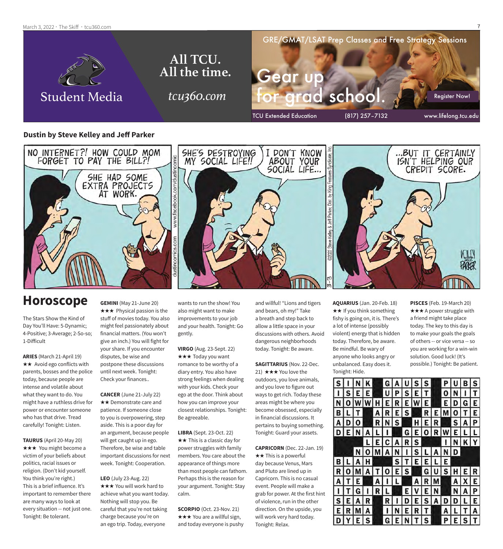March 3, 2022 · The Skiff · tcu360.com



#### **Dustin by Steve Kelley and Jeff Parker**



## **Horoscope**

The Stars Show the Kind of Day You'll Have: 5-Dynamic; 4-Positive; 3-Average; 2-So-so; 1-Difficult

**ARIES** (March 21-April 19)  $\star\star$  Avoid ego conflicts with parents, bosses and the police today, because people are intense and volatile about what they want to do. You might have a ruthless drive for power or encounter someone who has that drive. Tread carefully! Tonight: Listen.

**TAURUS** (April 20-May 20) **★★★** You might become a victim of your beliefs about politics, racial issues or religion. (Don't kid yourself. You think you're right.) This is a brief influence. It's important to remember there are many ways to look at every situation -- not just one. Tonight: Be tolerant.

**GEMINI** (May 21-June 20)  $\star \star \star$  Physical passion is the stuff of movies today. You also might feel passionately about financial matters. (You won't give an inch.) You will fight for your share. If you encounter disputes, be wise and postpone these discussions until next week. Tonight: Check your finances..

**CANCER** (June 21-July 22)  $\star\star$  Demonstrate care and patience. If someone close to you is overpowering, step aside. This is a poor day for an argument, because people will get caught up in ego. Therefore, be wise and table important discussions for next week. Tonight: Cooperation.

**LEO** (July 23-Aug. 22) \*\*\* You will work hard to achieve what you want today. Nothing will stop you. Be careful that you're not taking charge because you're on an ego trip. Today, everyone

wants to run the show! You also might want to make improvements to your job and your health. Tonight: Go gently.

**VIRGO** (Aug. 23-Sept. 22) **★★★ Today you want** romance to be worthy of a diary entry. You also have strong feelings when dealing with your kids. Check your ego at the door. Think about how you can improve your closest relationships. Tonight: Be agreeable.

**LIBRA** (Sept. 23-Oct. 22)  $\star\star$  This is a classic day for power struggles with family members. You care about the appearance of things more than most people can fathom. Perhaps this is the reason for your argument. Tonight: Stay calm.

**SCORPIO** (Oct. 23-Nov. 21)  $\star \star \star$  You are a willful sign, and today everyone is pushy and willful! "Lions and tigers and bears, oh my!" Take a breath and step back to allow a little space in your discussions with others. Avoid dangerous neighborhoods today. Tonight: Be aware.

**SAGITTARIUS** (Nov. 22-Dec. 21)  $\star \star \star$  You love the outdoors, you love animals, and you love to figure out ways to get rich. Today these areas might be where you become obsessed, especially in financial discussions. It pertains to buying something. Tonight: Guard your assets.

**CAPRICORN** (Dec. 22-Jan. 19)  $\star \star$  This is a powerful day because Venus, Mars and Pluto are lined up in Capricorn. This is no casual event. People will make a grab for power. At the first hint of violence, run in the other direction. On the upside, you will work very hard today. Tonight: Relax.

**AQUARIUS** (Jan. 20-Feb. 18)  $\star\star$  If you think something fishy is going on, it is. There's a lot of intense (possibly violent) energy that is hidden today. Therefore, be aware. Be mindful. Be wary of anyone who looks angry or unbalanced. Easy does it. Tonight: Hide.

**PISCES** (Feb. 19-March 20)  $\star \star \star$  A power struggle with a friend might take place today. The key to this day is to make your goals the goals of others -- or vice versa -- so you are working for a win-win solution. Good luck! (It's possible.) Tonight: Be patient.